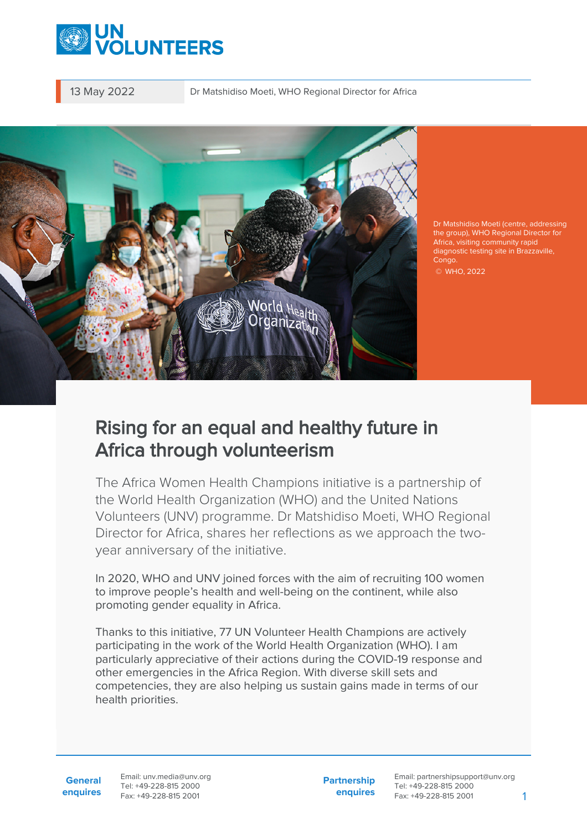

13 May 2022 Dr Matshidiso Moeti, WHO Regional Director for Africa



Dr Matshidiso Moeti (centre, addressing the group), WHO Regional Director for Africa, visiting community rapid diagnostic testing site in Brazzaville, Congo. © WHO, 2022

## Rising for an equal and healthy future in Africa through volunteerism

The Africa Women Health Champions initiative is a partnership of the World Health Organization (WHO) and the United Nations Volunteers (UNV) programme. Dr Matshidiso Moeti, WHO Regional Director for Africa, shares her reflections as we approach the twoyear anniversary of the initiative.

In 2020, WHO and UNV joined forces with the aim of recruiting 100 women to improve people's health and well-being on the continent, while also promoting gender equality in Africa.

Thanks to this initiative, 77 UN Volunteer Health Champions are actively participating in the work of the World Health Organization (WHO). I am particularly appreciative of their actions during the COVID-19 response and other emergencies in the Africa Region. With diverse skill sets and competencies, they are also helping us sustain gains made in terms of our health priorities.

**General enquires** Email: unv.media@unv.org Tel: +49-228-815 2000 Fax: +49-228-815 2001

**Partnership enquires**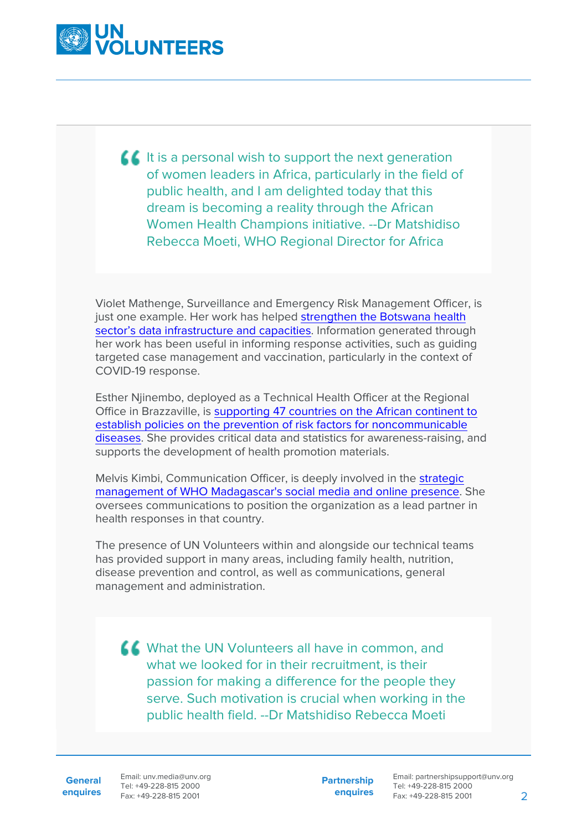

 $\blacksquare$  It is a personal wish to support the next generation of women leaders in Africa, particularly in the field of public health, and I am delighted today that this dream is becoming a reality through the African Women Health Champions initiative. --Dr Matshidiso Rebecca Moeti, WHO Regional Director for Africa

Violet Mathenge, Surveillance and Emergency Risk Management Officer, is just one example. Her work has helped [strengthen the Botswana health](https://www.unv.org/Success-stories/volunteering-african-woman-health-champion-botswana) [sector's data infrastructure and capacities](https://www.unv.org/Success-stories/volunteering-african-woman-health-champion-botswana). Information generated through her work has been useful in informing response activities, such as guiding targeted case management and vaccination, particularly in the context of COVID-19 response.

Esther Njinembo, deployed as a Technical Health Officer at the Regional Office in Brazzaville, is [supporting 47 countries on the African continent to](https://www.unv.org/Success-stories/volunteering-african-woman-health-champion-botswana) [establish policies on the prevention of risk factors for noncommunicable](https://www.unv.org/Success-stories/volunteering-african-woman-health-champion-botswana) [diseases](https://www.unv.org/Success-stories/volunteering-african-woman-health-champion-botswana). She provides critical data and statistics for awareness-raising, and supports the development of health promotion materials.

Melvis Kimbi, Communication Officer, is deeply involved in the [strategic](https://www.unv.org/fr/node/24369) [management of WHO Madagascar's social media and online presence](https://www.unv.org/fr/node/24369). She oversees communications to position the organization as a lead partner in health responses in that country.

The presence of UN Volunteers within and alongside our technical teams has provided support in many areas, including family health, nutrition, disease prevention and control, as well as communications, general management and administration.

K What the UN Volunteers all have in common, and what we looked for in their recruitment, is their passion for making a difference for the people they serve. Such motivation is crucial when working in the public health field. --Dr Matshidiso Rebecca Moeti

**General**

**enquires** Fax: +49-228-815 2001 Email: unv.media@unv.org Tel: +49-228-815 2000

**Partnership enquires**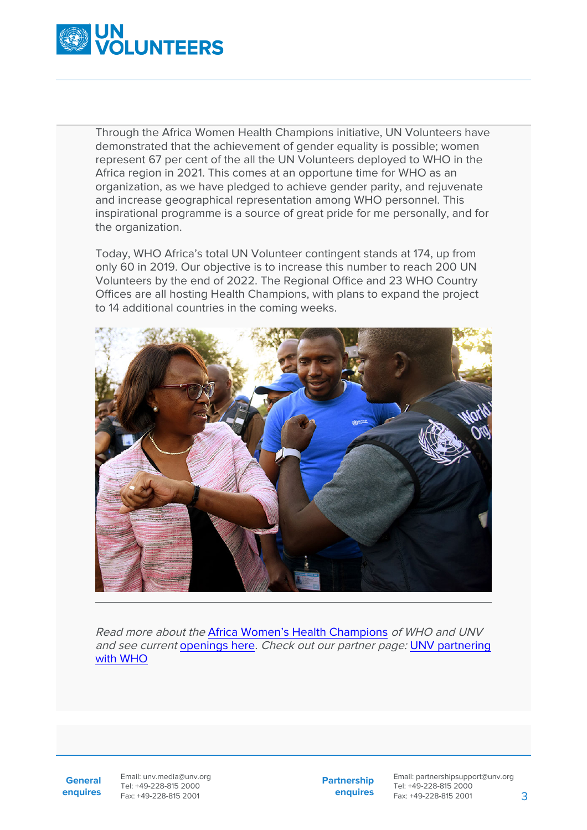

Through the Africa Women Health Champions initiative, UN Volunteers have demonstrated that the achievement of gender equality is possible; women represent 67 per cent of the all the UN Volunteers deployed to WHO in the Africa region in 2021. This comes at an opportune time for WHO as an organization, as we have pledged to achieve gender parity, and rejuvenate and increase geographical representation among WHO personnel. This inspirational programme is a source of great pride for me personally, and for the organization.

Today, WHO Africa's total UN Volunteer contingent stands at 174, up from only 60 in 2019. Our objective is to increase this number to reach 200 UN Volunteers by the end of 2022. The Regional Office and 23 WHO Country Offices are all hosting Health Champions, with plans to expand the project to 14 additional countries in the coming weeks.



Read more about the [Africa Women's Health Champions](https://www.unv.org/News/Africa-Women-Health-Champions-improve-health-and-gender-equality) of WHO and UNV and see current [openings here](https://www.unv.org/unv-recruiting-africa-women-health-champions). Check out our partner page: [UNV partnering](https://www.unv.org/Partners/unv-partnering-who) [with WHO](https://www.unv.org/Partners/unv-partnering-who)

**General enquires**

Email: unv.media@unv.org Tel: +49-228-815 2000 Fax: +49-228-815 2001

**Partnership enquires**